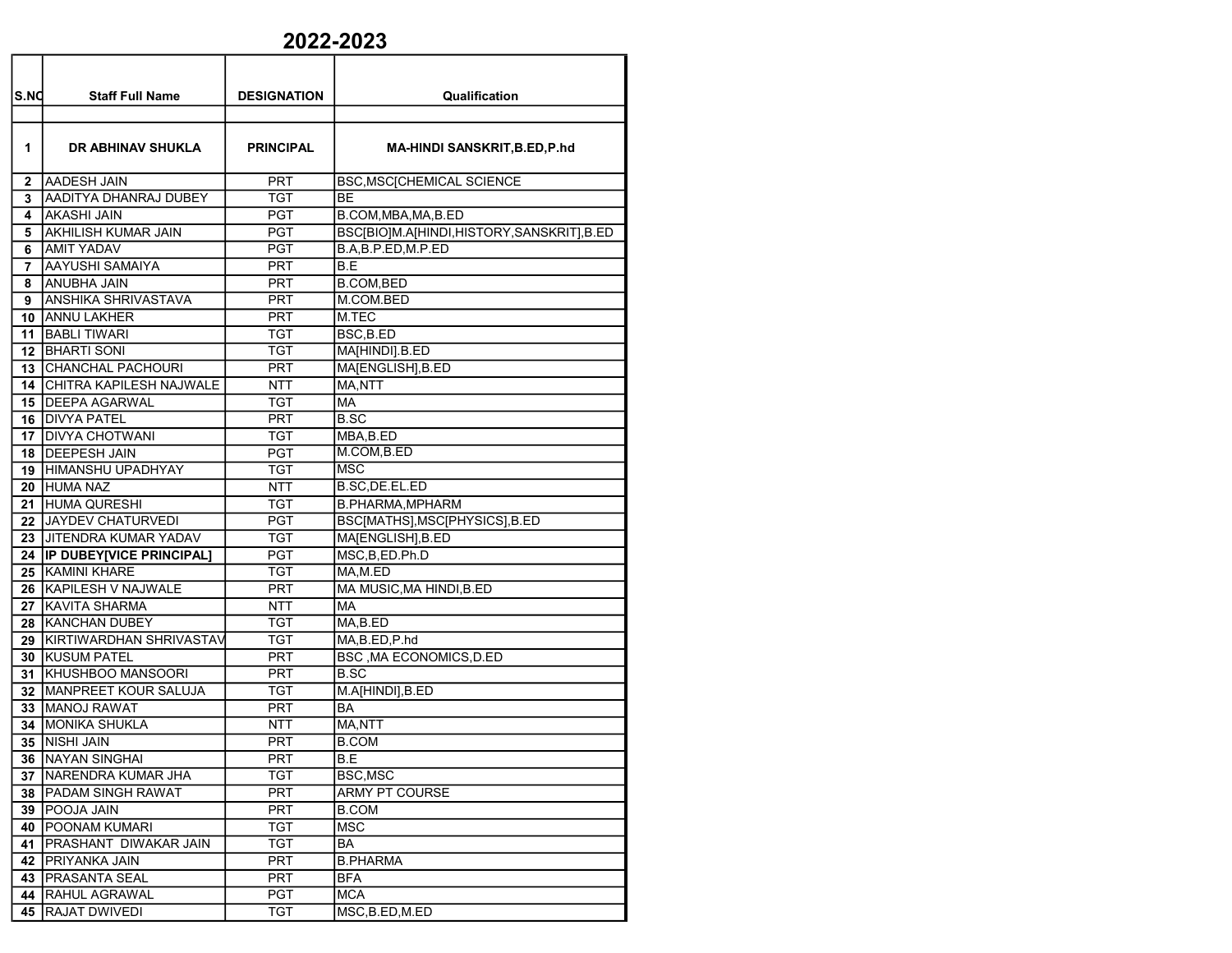## 2022-2023

| S.NO | <b>Staff Full Name</b>       | <b>DESIGNATION</b> | Qualification                            |
|------|------------------------------|--------------------|------------------------------------------|
|      |                              |                    |                                          |
| 1    | DR ABHINAV SHUKLA            | <b>PRINCIPAL</b>   | <b>MA-HINDI SANSKRIT, B.ED, P.hd</b>     |
| 2    | AADESH JAIN                  | PRT                | <b>BSC, MSC[CHEMICAL SCIENCE</b>         |
| 3.   | AADITYA DHANRAJ DUBEY        | <b>TGT</b>         | <b>BE</b>                                |
| 4    | <b>AKASHI JAIN</b>           | PGT                | B.COM, MBA, MA, B.ED                     |
| 5    | AKHILISH KUMAR JAIN          | PGT                | BSC[BIO]M.A[HINDI,HISTORY,SANSKRIT],B.ED |
| 6    | <b>AMIT YADAV</b>            | PGT                | B.A.B.P.ED.M.P.ED                        |
| 7    | AAYUSHI SAMAIYA              | PRT                | B.E                                      |
| 8    | ANUBHA JAIN                  | PRT                | <b>B.COM, BED</b>                        |
| 9    | <b>ANSHIKA SHRIVASTAVA</b>   | PRT                | M.COM.BED                                |
| 10   | <b>JANNU LAKHER</b>          | <b>PRT</b>         | M.TEC                                    |
| 11   | <b>BABLI TIWARI</b>          | TGT                | BSC, B.ED                                |
|      | <b>12 BHARTI SONI</b>        | TGT                | MA[HINDI].B.ED                           |
| 13   | <b>CHANCHAL PACHOURI</b>     | PRT                | MA[ENGLISH], B.ED                        |
| 14   | CHITRA KAPILESH NAJWALE      | <b>NTT</b>         | MA,NTT                                   |
|      | 15 <b>IDEEPA AGARWAL</b>     | TGT                | MA                                       |
|      | 16   DIVYA PATEL             | PRT                | <b>B.SC</b>                              |
|      | 17 DIVYA CHOTWANI            | TGT                | MBA, B.ED                                |
|      | <b>18 IDEEPESH JAIN</b>      | <b>PGT</b>         | M.COM, B.ED                              |
|      | <b>19 HIMANSHU UPADHYAY</b>  | <b>TGT</b>         | <b>MSC</b>                               |
|      | 20 HUMA NAZ                  | <b>NTT</b>         | B.SC, DE.EL.ED                           |
| 21   | <b>HUMA QURESHI</b>          | TGT                | <b>B.PHARMA.MPHARM</b>                   |
|      | 22 JJAYDEV CHATURVEDI        | <b>PGT</b>         | BSC[MATHS], MSC[PHYSICS], B.ED           |
| 23   | <b>JITENDRA KUMAR YADAV</b>  | TGT                | MA[ENGLISH],B.ED                         |
|      | 24  IP DUBEY[VICE PRINCIPAL] | PGT                | MSC, B, ED. Ph.D                         |
|      | 25 KAMINI KHARE              | TGT                | MA,M.ED                                  |
|      | 26   KAPILESH V NAJWALE      | PRT                | MA MUSIC, MA HINDI, B.ED                 |
|      | 27 KAVITA SHARMA             | <b>NTT</b>         | <b>MA</b>                                |
|      | 28 KANCHAN DUBEY             | TGT                | MA,B.ED                                  |
|      | 29 KIRTIWARDHAN SHRIVASTAV   | TGT                | MA,B.ED,P.hd                             |
|      | <b>30 KUSUM PATEL</b>        | PRT                | BSC, MA ECONOMICS, D.ED                  |
| 31   | KHUSHBOO MANSOORI            | PRT                | <b>B.SC</b>                              |
|      | 32 MANPREET KOUR SALUJA      | TGT                | M.A[HINDI],B.ED                          |
|      | 33   MANOJ RAWAT             | <b>PRT</b>         | BA                                       |
|      | <b>34   MONIKA SHUKLA</b>    | NTT                | MA,NTT                                   |
|      | 35   NISHI JAIN              | PRT                | <b>B.COM</b>                             |
|      | 36 NAYAN SINGHAI             | PRT                | B.E                                      |
|      | 37   NARENDRA KUMAR JHA      | TGT                | BSC, MSC                                 |
|      | 38   PADAM SINGH RAWAT       | PRT                | <b>ARMY PT COURSE</b>                    |
|      | 39 POOJA JAIN                | <b>PRT</b>         | <b>B.COM</b>                             |
|      | 40   POONAM KUMARI           | <b>TGT</b>         | MSC                                      |
|      | 41   PRASHANT DIWAKAR JAIN   | <b>TGT</b>         | BA                                       |
|      | 42 PRIYANKA JAIN             | <b>PRT</b>         | <b>B.PHARMA</b>                          |
|      | 43   PRASANTA SEAL           | <b>PRT</b>         | BFA                                      |
|      | 44 RAHUL AGRAWAL             | <b>PGT</b>         | MCA                                      |
|      | 45 RAJAT DWIVEDI             | <b>TGT</b>         | MSC, B.ED, M.ED                          |
|      |                              |                    |                                          |